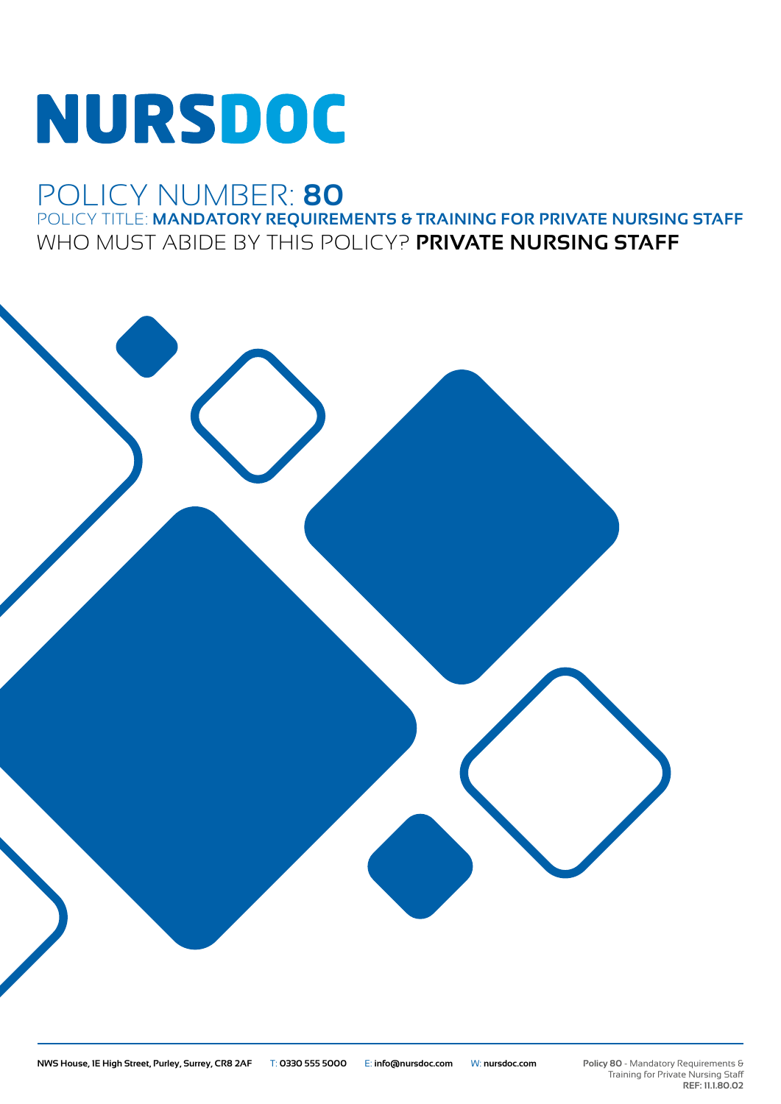# NURSDOC

## POLICY NUMBER: **80** POLICY TITLE: **MANDATORY REQUIREMENTS & TRAINING FOR PRIVATE NURSING STAFF** WHO MUST ABIDE BY THIS POLICY? **PRIVATE NURSING STAFF**